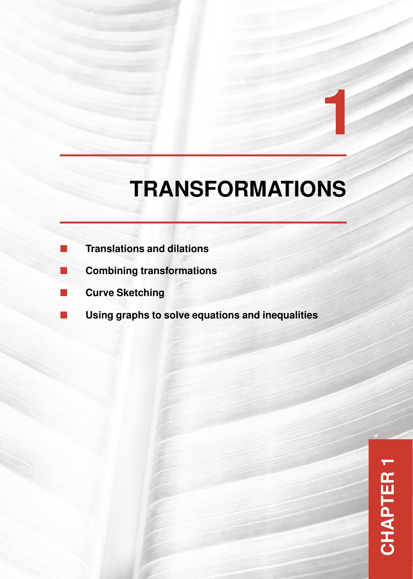# **TRANSFORMATIONS**

**1**

- **Translations and dilations**
- **Combining transformations**
- **Curve Sketching**
- **[Using graphs to solve equations and inequalities](#page-1-0)**

**CHAPTER 1CHAPTER 1**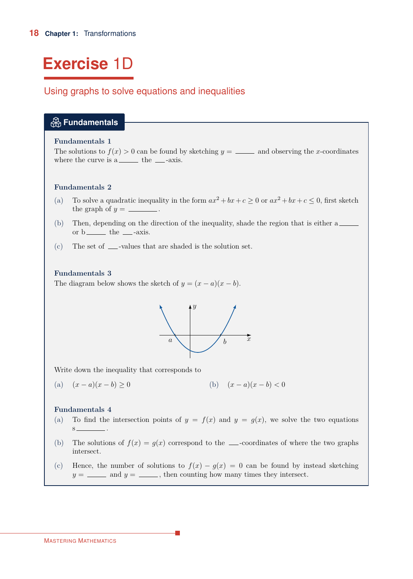# <span id="page-1-0"></span>**Exercise** 1D

# Using graphs to solve equations and inequalities

| $\bigcirc$ Fundamentals                                                                                                                                                                                                      |  |  |  |  |  |
|------------------------------------------------------------------------------------------------------------------------------------------------------------------------------------------------------------------------------|--|--|--|--|--|
| <b>Fundamentals 1</b><br>The solutions to $f(x) > 0$ can be found by sketching $y =$ _______ and observing the x-coordinates<br>where the curve is a<br>________ the _____-axis.                                             |  |  |  |  |  |
| <b>Fundamentals 2</b>                                                                                                                                                                                                        |  |  |  |  |  |
| To solve a quadratic inequality in the form $ax^2 + bx + c \ge 0$ or $ax^2 + bx + c \le 0$ , first sketch<br>(a)<br>the graph of $y =$ _________.                                                                            |  |  |  |  |  |
| Then, depending on the direction of the inequality, shade the region that is either a<br>(b)<br>or $b$ _______ the ____-axis.                                                                                                |  |  |  |  |  |
| (c)<br>The set of _____-values that are shaded is the solution set.                                                                                                                                                          |  |  |  |  |  |
| <b>Fundamentals 3</b><br>The diagram below shows the sketch of $y = (x - a)(x - b)$ .<br>$\mathcal{X}$<br>$\it a$                                                                                                            |  |  |  |  |  |
| Write down the inequality that corresponds to                                                                                                                                                                                |  |  |  |  |  |
| (b) $(x-a)(x-b) < 0$<br>(a) $(x-a)(x-b) \ge 0$                                                                                                                                                                               |  |  |  |  |  |
| <b>Fundamentals 4</b><br>To find the intersection points of $y = f(x)$ and $y = g(x)$ , we solve the two equations<br>(a)<br>The solutions of $f(x) = g(x)$ correspond to the ___-coordinates of where the two graphs<br>(b) |  |  |  |  |  |
| intersect.<br>Hence, the number of solutions to $f(x) - g(x) = 0$ can be found by instead sketching<br>(c)<br>$y =$ _______ and $y =$ ______, then counting how many times they intersect.                                   |  |  |  |  |  |
|                                                                                                                                                                                                                              |  |  |  |  |  |

H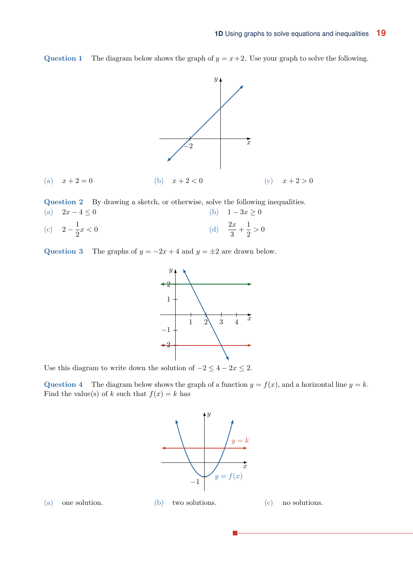**Question 1** The diagram below shows the graph of  $y = x + 2$ . Use your graph to solve the following.



**Question 2** By drawing a sketch, or otherwise, solve the following inequalities.

(a)  $2x - 4 \le 0$  (b)  $1 - 3x \ge 0$  $2-\frac{1}{2}$ (c)  $2 - \frac{1}{2}x < 0$ 2*x*  $rac{2x}{3} + \frac{1}{2}$ (d)  $\frac{2x}{3} + \frac{1}{2} > 0$ 

Question 3 The graphs of  $y = -2x + 4$  and  $y = \pm 2$  are drawn below.



Use this diagram to write down the solution of  $-2 \leq 4 - 2x \leq 2$ .

**Question 4** The diagram below shows the graph of a function  $y = f(x)$ , and a horizontal line  $y = k$ . Find the value(s) of *k* such that  $f(x) = k$  has



(a) one solution. (b) two solutions. (c) no solutions.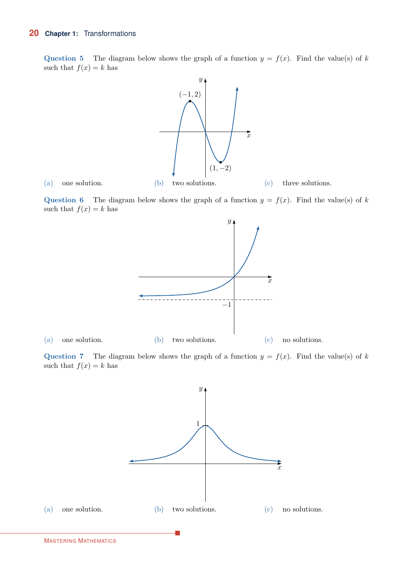**Question 5** The diagram below shows the graph of a function  $y = f(x)$ . Find the value(s) of *k* such that  $f(x) = k$  has



**Question 6** The diagram below shows the graph of a function  $y = f(x)$ . Find the value(s) of *k* such that  $f(x) = k$  has



**Question 7** The diagram below shows the graph of a function  $y = f(x)$ . Find the value(s) of *k* such that  $f(x) = k$  has

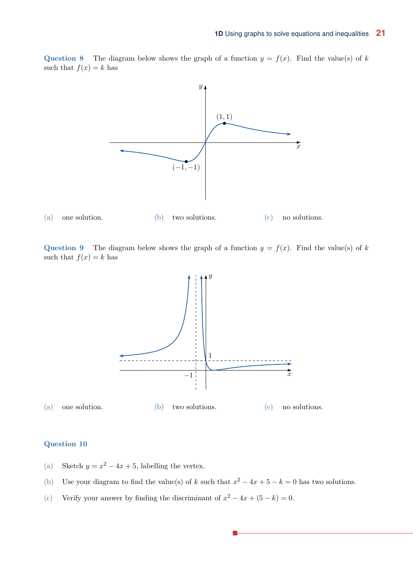**Question 8** The diagram below shows the graph of a function  $y = f(x)$ . Find the value(s) of *k* such that  $f(x) = k$  has



**Question 9** The diagram below shows the graph of a function  $y = f(x)$ . Find the value(s) of *k* such that  $f(x) = k$  has



### **Question 10**

- (a) Sketch  $y = x^2 4x + 5$ , labelling the vertex.
- (b) Use your diagram to find the value(s) of *k* such that  $x^2 4x + 5 k = 0$  has two solutions.
- (c) Verify your answer by finding the discriminant of  $x^2 4x + (5 k) = 0$ .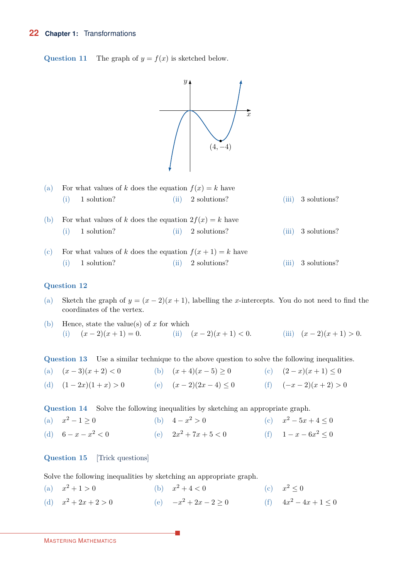#### **22 Chapter 1:** Transformations

**Question 11** The graph of  $y = f(x)$  is sketched below.



| (a) For what values of k does the equation $f(x) = k$ have |                   |  |                     |  |                      |  |
|------------------------------------------------------------|-------------------|--|---------------------|--|----------------------|--|
|                                                            | $(i)$ 1 solution? |  | $(ii)$ 2 solutions? |  | $(iii)$ 3 solutions? |  |

- (b) For what values of *k* does the equation  $2f(x) = k$  have (i) 1 solution? (ii) 2 solutions? (iii) 3 solutions?
- (c) For what values of *k* does the equation  $f(x + 1) = k$  have (i) 1 solution? (ii) 2 solutions? (iii) 3 solutions?

### **Question 12**

- Sketch the graph of  $y = (x 2)(x + 1)$ , labelling the *x*-intercepts. You do not need to find the coordinates of the vertex. (a)
- (b) Hence, state the value(s) of *x* for which (i)  $(x-2)(x+1) = 0.$  (ii)  $(x-2)(x+1) < 0.$  (iii)  $(x-2)(x+1) > 0.$

**Question 13** Use a similar technique to the above question to solve the following inequalities.

(a)  $(x-3)(x+2) < 0$  (b)  $(x+4)(x-5) \ge 0$  (c)  $(2-x)(x+1) \le 0$ (d)  $(1-2x)(1+x) > 0$  (e)  $(x-2)(2x-4) \le 0$  (f)  $(-x-2)(x+2) > 0$ 

**Question 14** Solve the following inequalities by sketching an appropriate graph.

| (a) $x^2 - 1 \ge 0$   | (b) $4 - x^2 > 0$       | (c) $x^2 - 5x + 4 \le 0$ |
|-----------------------|-------------------------|--------------------------|
| (d) $6 - x - x^2 < 0$ | (e) $2x^2 + 7x + 5 < 0$ | (f) $1-x-6x^2 \le 0$     |

### **Question 15** [Trick questions]

Solve the following inequalities by sketching an appropriate graph.

(a)  $x^2 + 1 > 0$  (b)  $x^2 + 4 < 0$  (c)  $x^2 \le 0$ (d)  $x^2 + 2x + 2 > 0$  (e)  $-x^2 + 2x - 2 \ge 0$  (f)  $4x^2 - 4x + 1 \le 0$ 

п

```
MASTERING MATHEMATICS
```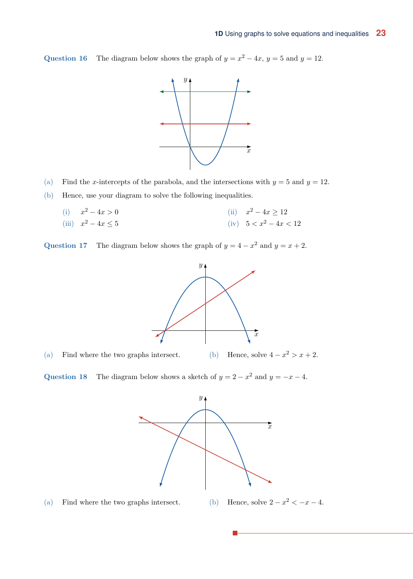Question 16 The diagram below shows the graph of  $y = x^2 - 4x$ ,  $y = 5$  and  $y = 12$ .



- (a) Find the *x*-intercepts of the parabola, and the intersections with  $y = 5$  and  $y = 12$ .
- (b) Hence, use your diagram to solve the following inequalities.
	- (i)  $x^2 4x > 0$  (ii)  $x^2 4x \ge 12$ *(iii)*  $x^2 - 4x \le 5$  *(iv)*  $5 < x^2 - 4x < 12$

Question 17 The diagram below shows the graph of  $y = 4 - x^2$  and  $y = x + 2$ .



(a) Find where the two graphs intersect. (b) Hence, solve  $4 - x^2 > x + 2$ .

Question 18 The diagram below shows a sketch of  $y = 2 - x^2$  and  $y = -x - 4$ .



(a) Find where the two graphs intersect. (b) Hence, solve  $2 - x^2 < -x - 4$ .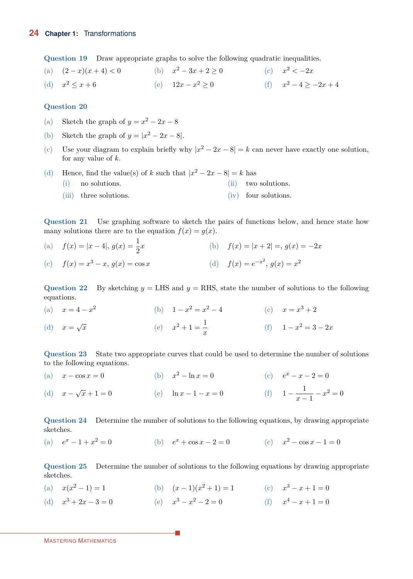**Question 19** Draw appropriate graphs to solve the following quadratic inequalities.

(a)  $(2-x)(x+4) < 0$  (b)  $x^2 - 3x + 2 \ge 0$  (c)  $x^2 < -2x$ (d)  $x^2 \le x + 6$  (e)  $12x - x^2 > 0$  (f)  $x^2 - 4 > -2x + 4$ 

#### **Question 20**

- (a) Sketch the graph of  $y = x^2 2x 8$
- (b) Sketch the graph of  $y = |x^2 2x 8|$ .
- Use your diagram to explain briefly why  $|x^2 2x 8| = k$  can never have exactly one solution, for any value of *k*.  $(c)$
- (d) Hence, find the value(s) of *k* such that  $|x^2 2x 8| = k$  has (i) no solutions. (ii) two solutions. (iii) three solutions. (iv) four solutions.

**Question 21** Use graphing software to sketch the pairs of functions below, and hence state how many solutions there are to the equation  $f(x) = g(x)$ .

 $f(x) = |x - 4|, g(x) = \frac{1}{2}$ (b)  $f(x) = |x + 2| =, g(x) = -2x$  $f(x) = f(x) = x^3 - x, g(x) = \cos x$ (d)  $f(x) = e^{-x^2}, g(x) = x^2$ 

**Question 22** By sketching  $y = L$ HS and  $y = R$ HS, state the number of solutions to the following equations.

(a)  $x = 4 - x^2$  (b)  $1 - x$ (b)  $1 - x^2 = x^2 - 4$  (c)  $x = x^3 + 2$ (d)  $x = \sqrt{x}$  (e) *x*  $2^2 + 1 = \frac{1}{2}$ (e)  $x^2 + 1 = \frac{1}{x}$  (f)  $1 - x^2 = 3 - 2x$ 

**Question 23** State two appropriate curves that could be used to determine the number of solutions to the following equations.

(a)  $x - \cos x = 0$  (b)  $x^2 - \ln x = 0$  (c)  $e^x - x - 2 = 0$ *x* − √ (d)  $x - \sqrt{x} + 1 = 0$  (e)  $\ln x - 1 - x = 0$  (f)  $1 - \frac{1}{x}$ (f)  $1 - \frac{1}{x-1} - x^2 = 0$ 

**Question 24** Determine the number of solutions to the following equations, by drawing appropriate sketches.

(a)  $e^x - 1 + x^2 = 0$ (b)  $e^x + \cos x - 2 = 0$  (c)  $x^2 - \cos x - 1 = 0$ 

**Question 25** Determine the number of solutions to the following equations by drawing appropriate sketches.

- (a)  $x(x^2 1) = 1$  (*b*)  $(x 1)(x^2 + 1) = 1$  (*c*)  $x^3 x + 1 = 0$
- (d)  $x^3 + 2x 3 = 0$ (e)  $x^3 - x^2 - 2 = 0$  <br> (f)  $x^4 - x + 1 = 0$

MASTERING MATHEMATICS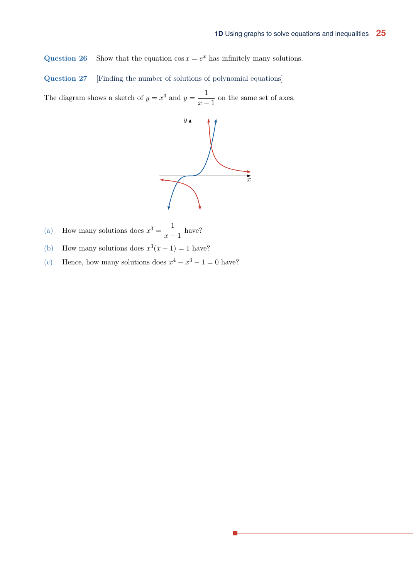**Question 26** Show that the equation  $\cos x = e^x$  has infinitely many solutions.

**Question 27** [Finding the number of solutions of polynomial equations]

The diagram shows a sketch of  $y = x^3$  and  $y = \frac{1}{x}$  $\frac{1}{x-1}$  on the same set of axes.



- How many solutions does  $x^3 = \frac{1}{x}$ (a) How many solutions does  $x^3 = \frac{1}{x-1}$  have?
- (b) How many solutions does  $x^3(x-1) = 1$  have?
- (c) Hence, how many solutions does  $x^4 x^3 1 = 0$  have?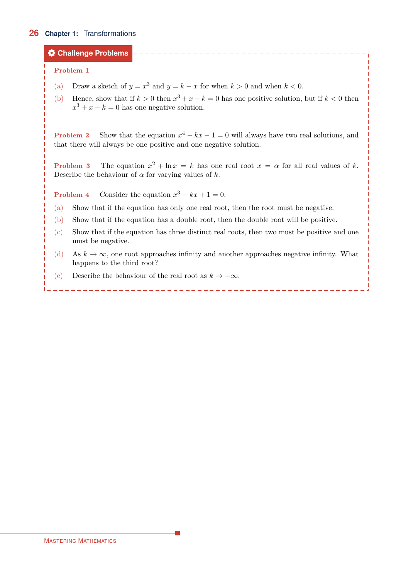# **26 Chapter 1:** Transformations

# **Challenge Problems**

## **Problem 1**

- (a) Draw a sketch of  $y = x^3$  and  $y = k x$  for when  $k > 0$  and when  $k < 0$ .
- Hence, show that if  $k > 0$  then  $x^3 + x k = 0$  has one positive solution, but if  $k < 0$  then  $x^3 + x - k = 0$  has one negative solution.  $(b)$

**Problem 2** Show that the equation  $x^4 - kx - 1 = 0$  will always have two real solutions, and that there will always be one positive and one negative solution.

**Problem 3** The equation  $x^2 + \ln x = k$  has one real root  $x = \alpha$  for all real values of k. Describe the behaviour of  $\alpha$  for varying values of  $k$ .

**Problem 4** Consider the equation  $x^3 - kx + 1 = 0$ .

- (a) Show that if the equation has only one real root, then the root must be negative.
- (b) Show that if the equation has a double root, then the double root will be positive.
- Show that if the equation has three distinct real roots, then two must be positive and one must be negative. (c)
- As  $k \to \infty$ , one root approaches infinity and another approaches negative infinity. What happens to the third root? (d)
- (e) Describe the behaviour of the real root as  $k \to -\infty$ .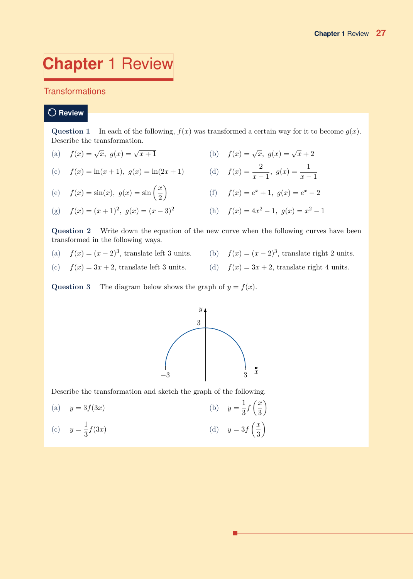# **Chapter** 1 Review

# **Transformations**

# **Review**

# **Question 1** In each of the following,  $f(x)$  was transformed a certain way for it to become  $g(x)$ . Describe the transformation.

| (a) $f(x) = \sqrt{x}, g(x) = \sqrt{x+1}$ | (b) $f(x) = \sqrt{x}, g(x) = \sqrt{x} + 2$ |  |
|------------------------------------------|--------------------------------------------|--|

(c) 
$$
f(x) = \ln(x+1), g(x) = \ln(2x+1)
$$
 (d)  $f(x) = \frac{2}{x-1}, g(x) = \frac{1}{x-1}$ 

(e) 
$$
f(x) = \sin(x), g(x) = \sin\left(\frac{x}{2}\right)
$$
   
 (f)  $f(x) = e^x + 1, g(x) = e^x - 2$ 

(g) 
$$
f(x) = (x+1)^2
$$
,  $g(x) = (x-3)^2$    
 (h)  $f(x) = 4x^2 - 1$ ,  $g(x) = x^2 - 1$ 

**Question 2** Write down the equation of the new curve when the following curves have been transformed in the following ways.

- 
- (a)  $f(x) = (x-2)^3$ , translate left 3 units. (b)  $f(x) = (x-2)^3$ , translate right 2 units.
- 
- (c)  $f(x) = 3x + 2$ , translate left 3 units. (d)  $f(x) = 3x + 2$ , translate right 4 units.

**Question 3** The diagram below shows the graph of  $y = f(x)$ .



Describe the transformation and sketch the graph of the following.

(a)  $y = 3f(3x)$ 1  $\frac{1}{3}f\left(\frac{x}{3}\right)$ 3 (b)  $y = \frac{1}{2}f\left(\frac{x}{2}\right)$  $y=\frac{1}{2}$ (c)  $y = \frac{1}{3}f(3x)$  (d)  $y = 3f$  *x* 3 (d)  $y=3f\left(\frac{x}{2}\right)$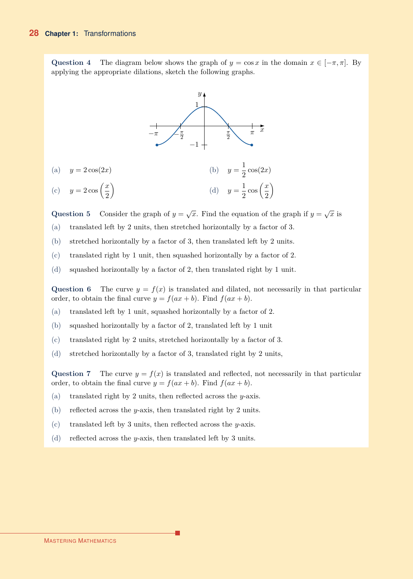Question 4 The diagram below shows the graph of  $y = \cos x$  in the domain  $x \in [-\pi, \pi]$ . By applying the appropriate dilations, sketch the following graphs.



**Question 5** Consider the graph of  $y = \sqrt{x}$ . Find the equation of the graph if  $y = \sqrt{x}$  is

- (a) translated left by 2 units, then stretched horizontally by a factor of 3.
- (b) stretched horizontally by a factor of 3, then translated left by 2 units.
- (c) translated right by 1 unit, then squashed horizontally by a factor of 2.
- (d) squashed horizontally by a factor of 2, then translated right by 1 unit.

Question 6 The curve  $y = f(x)$  is translated and dilated, not necessarily in that particular order, to obtain the final curve  $y = f(ax + b)$ . Find  $f(ax + b)$ .

- (a) translated left by 1 unit, squashed horizontally by a factor of 2.
- (b) squashed horizontally by a factor of 2, translated left by 1 unit
- (c) translated right by 2 units, stretched horizontally by a factor of 3.
- (d) stretched horizontally by a factor of 3, translated right by 2 units,

Question 7 The curve  $y = f(x)$  is translated and reflected, not necessarily in that particular order, to obtain the final curve  $y = f(ax + b)$ . Find  $f(ax + b)$ .

- (a) translated right by 2 units, then reflected across the *y*-axis.
- (b) reflected across the *y*-axis, then translated right by 2 units.
- (c) translated left by 3 units, then reflected across the *y*-axis.
- (d) reflected across the *y*-axis, then translated left by 3 units.

#### MASTERING MATHEMATICS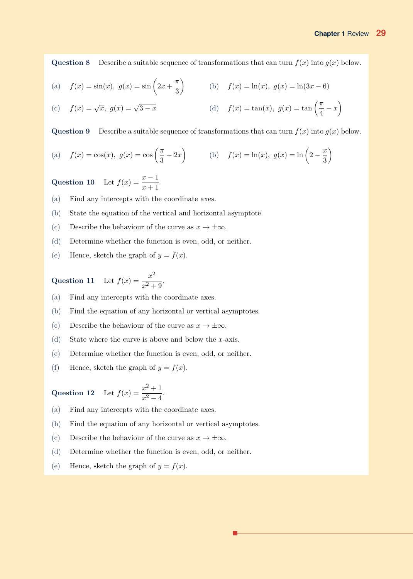**Question 8** Describe a suitable sequence of transformations that can turn  $f(x)$  into  $g(x)$  below.

(a) 
$$
f(x) = \sin(x), g(x) = \sin\left(2x + \frac{\pi}{3}\right)
$$
 (b)  $f(x) = \ln(x), g(x) = \ln(3x - 6)$ 

(c) 
$$
f(x) = \sqrt{x}
$$
,  $g(x) = \sqrt{3-x}$    
 (d)  $f(x) = \tan(x)$ ,  $g(x) = \tan(\frac{\pi}{4} - x)$ 

**Question 9** Describe a suitable sequence of transformations that can turn  $f(x)$  into  $g(x)$  below.

(a) 
$$
f(x) = \cos(x), g(x) = \cos\left(\frac{\pi}{3} - 2x\right)
$$
 (b)  $f(x) = \ln(x), g(x) = \ln\left(2 - \frac{x}{3}\right)$ 

Question 10 Let  $f(x) = \frac{x-1}{x+1}$ 

(a) Find any intercepts with the coordinate axes.

- (b) State the equation of the vertical and horizontal asymptote.
- (c) Describe the behaviour of the curve as  $x \to \pm \infty$ .
- (d) Determine whether the function is even, odd, or neither.
- (e) Hence, sketch the graph of  $y = f(x)$ .

Question 11 Let 
$$
f(x) = \frac{x^2}{x^2 + 9}
$$
.

(a) Find any intercepts with the coordinate axes.

- (b) Find the equation of any horizontal or vertical asymptotes.
- (c) Describe the behaviour of the curve as  $x \to \pm \infty$ .
- (d) State where the curve is above and below the *x*-axis.
- (e) Determine whether the function is even, odd, or neither.
- (f) Hence, sketch the graph of  $y = f(x)$ .

Question 12 Let 
$$
f(x) = \frac{x^2 + 1}{x^2 - 4}
$$
.

(a) Find any intercepts with the coordinate axes.

(b) Find the equation of any horizontal or vertical asymptotes.

- (c) Describe the behaviour of the curve as  $x \to \pm \infty$ .
- (d) Determine whether the function is even, odd, or neither.
- (e) Hence, sketch the graph of  $y = f(x)$ .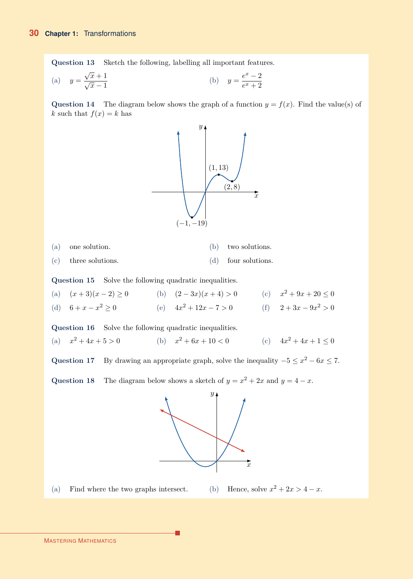**Question 13** Sketch the following, labelling all important features.

(a) 
$$
y = \frac{\sqrt{x} + 1}{\sqrt{x} - 1}
$$
 (b)  $y = \frac{e^x - 2}{e^x + 2}$ 

**Question 14** The diagram below shows the graph of a function  $y = f(x)$ . Find the value(s) of *k* such that  $f(x) = k$  has



(a) one solution. (b) two solutions.

(c) three solutions. (d) four solutions.

**Question 15** Solve the following quadratic inequalities.

(a)  $(x+3)(x-2) \ge 0$  (b)  $(2-3x)(x+4) > 0$  (c)  $x^2 + 9x + 20 \le 0$ (d)  $6 + x - x^2 \ge 0$  (e)  $4x^2 + 12x - 7 > 0$  (f)  $2 + 3x - 9x^2 > 0$ 

**Question 16** Solve the following quadratic inequalities.

(a)  $x^2 + 4x + 5 > 0$  (b)  $x^2 + 6x + 10 < 0$  (c)  $4x^2 + 4x + 1 \le 0$ 

Question 17 By drawing an appropriate graph, solve the inequality  $-5 \le x^2 - 6x \le 7$ .

Question 18 The diagram below shows a sketch of  $y = x^2 + 2x$  and  $y = 4 - x$ .



(a) Find where the two graphs intersect. (b) Hence, solve  $x^2 + 2x > 4 - x$ .

г

MASTERING MATHEMATICS